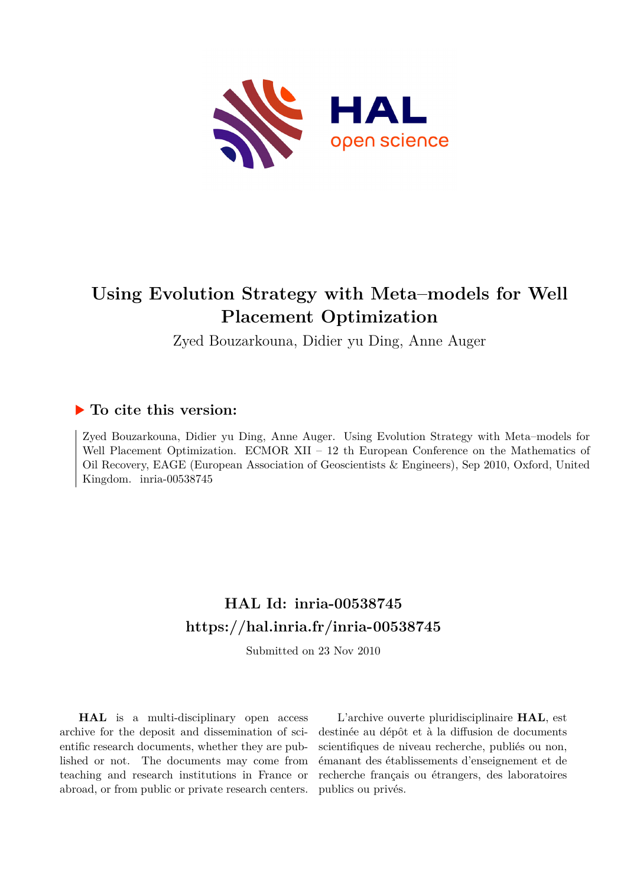

# **Using Evolution Strategy with Meta–models for Well Placement Optimization**

Zyed Bouzarkouna, Didier yu Ding, Anne Auger

# **To cite this version:**

Zyed Bouzarkouna, Didier yu Ding, Anne Auger. Using Evolution Strategy with Meta–models for Well Placement Optimization. ECMOR XII – 12 th European Conference on the Mathematics of Oil Recovery, EAGE (European Association of Geoscientists & Engineers), Sep 2010, Oxford, United Kingdom. inria-00538745

# **HAL Id: inria-00538745 <https://hal.inria.fr/inria-00538745>**

Submitted on 23 Nov 2010

**HAL** is a multi-disciplinary open access archive for the deposit and dissemination of scientific research documents, whether they are published or not. The documents may come from teaching and research institutions in France or abroad, or from public or private research centers.

L'archive ouverte pluridisciplinaire **HAL**, est destinée au dépôt et à la diffusion de documents scientifiques de niveau recherche, publiés ou non, émanant des établissements d'enseignement et de recherche français ou étrangers, des laboratoires publics ou privés.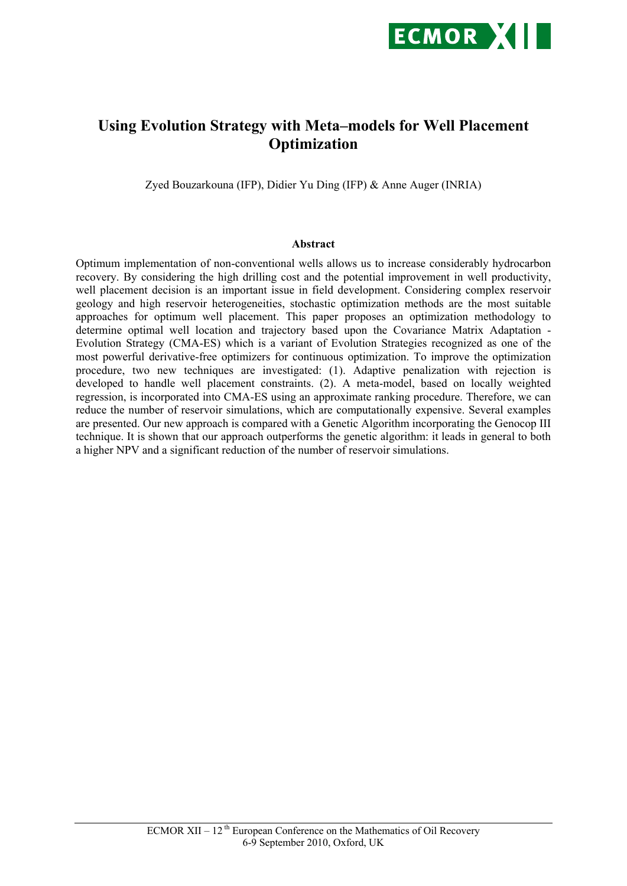

# **Using Evolution Strategy with Meta–models for Well Placement Optimization**

Zyed Bouzarkouna (IFP), Didier Yu Ding (IFP) & Anne Auger (INRIA)

#### **Abstract**

Optimum implementation of non-conventional wells allows us to increase considerably hydrocarbon recovery. By considering the high drilling cost and the potential improvement in well productivity, well placement decision is an important issue in field development. Considering complex reservoir geology and high reservoir heterogeneities, stochastic optimization methods are the most suitable approaches for optimum well placement. This paper proposes an optimization methodology to determine optimal well location and trajectory based upon the Covariance Matrix Adaptation - Evolution Strategy (CMA-ES) which is a variant of Evolution Strategies recognized as one of the most powerful derivative-free optimizers for continuous optimization. To improve the optimization procedure, two new techniques are investigated: (1). Adaptive penalization with rejection is developed to handle well placement constraints. (2). A meta-model, based on locally weighted regression, is incorporated into CMA-ES using an approximate ranking procedure. Therefore, we can reduce the number of reservoir simulations, which are computationally expensive. Several examples are presented. Our new approach is compared with a Genetic Algorithm incorporating the Genocop III technique. It is shown that our approach outperforms the genetic algorithm: it leads in general to both a higher NPV and a significant reduction of the number of reservoir simulations.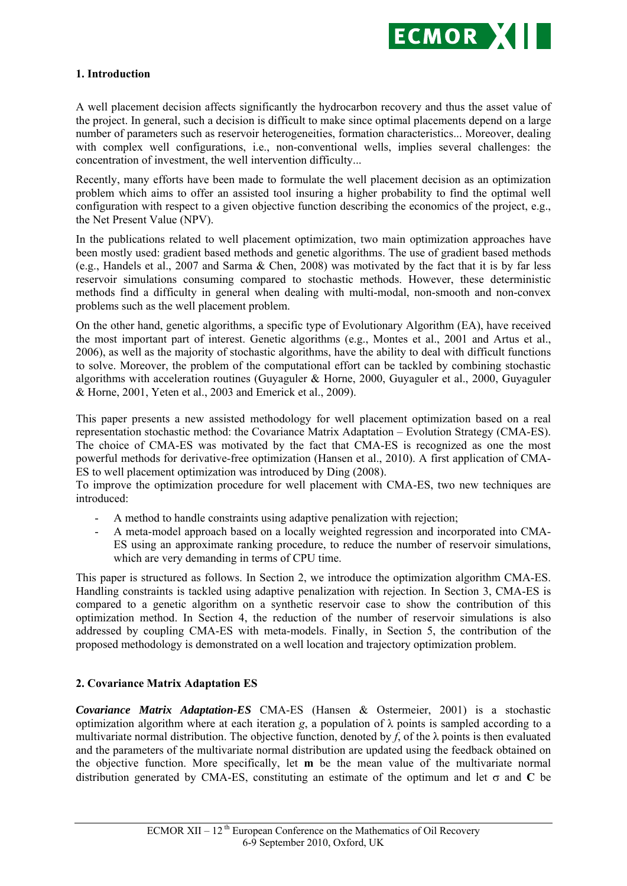

## **1. Introduction**

A well placement decision affects significantly the hydrocarbon recovery and thus the asset value of the project. In general, such a decision is difficult to make since optimal placements depend on a large number of parameters such as reservoir heterogeneities, formation characteristics... Moreover, dealing with complex well configurations, i.e., non-conventional wells, implies several challenges: the concentration of investment, the well intervention difficulty...

Recently, many efforts have been made to formulate the well placement decision as an optimization problem which aims to offer an assisted tool insuring a higher probability to find the optimal well configuration with respect to a given objective function describing the economics of the project, e.g., the Net Present Value (NPV).

In the publications related to well placement optimization, two main optimization approaches have been mostly used: gradient based methods and genetic algorithms. The use of gradient based methods (e.g., Handels et al., 2007 and Sarma & Chen, 2008) was motivated by the fact that it is by far less reservoir simulations consuming compared to stochastic methods. However, these deterministic methods find a difficulty in general when dealing with multi-modal, non-smooth and non-convex problems such as the well placement problem.

On the other hand, genetic algorithms, a specific type of Evolutionary Algorithm (EA), have received the most important part of interest. Genetic algorithms (e.g., Montes et al., 2001 and Artus et al., 2006), as well as the majority of stochastic algorithms, have the ability to deal with difficult functions to solve. Moreover, the problem of the computational effort can be tackled by combining stochastic algorithms with acceleration routines (Guyaguler & Horne, 2000, Guyaguler et al., 2000, Guyaguler & Horne, 2001, Yeten et al., 2003 and Emerick et al., 2009).

This paper presents a new assisted methodology for well placement optimization based on a real representation stochastic method: the Covariance Matrix Adaptation – Evolution Strategy (CMA-ES). The choice of CMA-ES was motivated by the fact that CMA-ES is recognized as one the most powerful methods for derivative-free optimization (Hansen et al., 2010). A first application of CMA-ES to well placement optimization was introduced by Ding (2008).

To improve the optimization procedure for well placement with CMA-ES, two new techniques are introduced:

- A method to handle constraints using adaptive penalization with rejection;
- A meta-model approach based on a locally weighted regression and incorporated into CMA-ES using an approximate ranking procedure, to reduce the number of reservoir simulations, which are very demanding in terms of CPU time.

This paper is structured as follows. In Section 2, we introduce the optimization algorithm CMA-ES. Handling constraints is tackled using adaptive penalization with rejection. In Section 3, CMA-ES is compared to a genetic algorithm on a synthetic reservoir case to show the contribution of this optimization method. In Section 4, the reduction of the number of reservoir simulations is also addressed by coupling CMA-ES with meta-models. Finally, in Section 5, the contribution of the proposed methodology is demonstrated on a well location and trajectory optimization problem.

## **2. Covariance Matrix Adaptation ES**

*Covariance Matrix Adaptation-ES* CMA-ES (Hansen & Ostermeier, 2001) is a stochastic optimization algorithm where at each iteration *g*, a population of  $\lambda$  points is sampled according to a multivariate normal distribution. The objective function, denoted by  $f$ , of the  $\lambda$  points is then evaluated and the parameters of the multivariate normal distribution are updated using the feedback obtained on the objective function. More specifically, let **m** be the mean value of the multivariate normal distribution generated by CMA-ES, constituting an estimate of the optimum and let  $\sigma$  and C be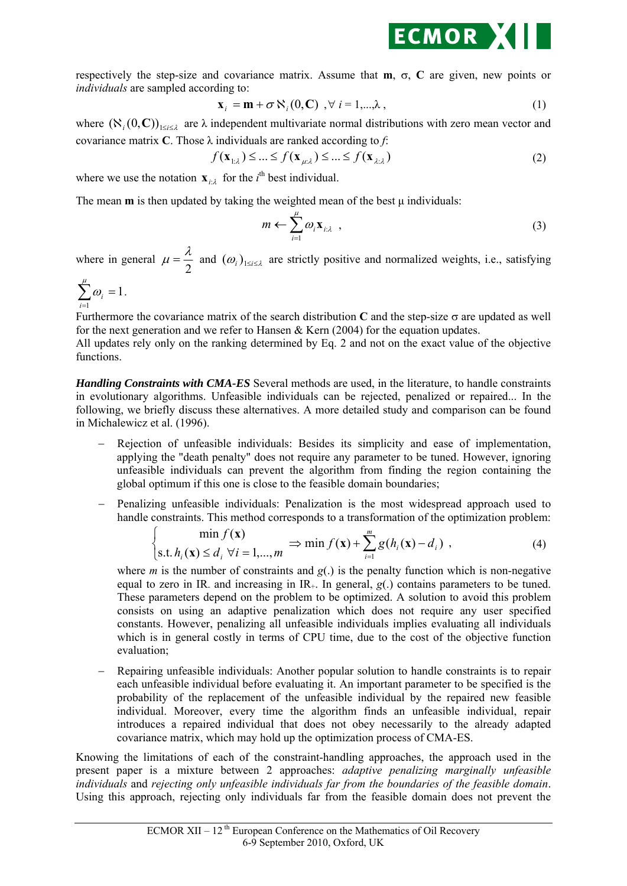

respectively the step-size and covariance matrix. Assume that  $m$ ,  $\sigma$ ,  $C$  are given, new points or *individuals* are sampled according to:

$$
\mathbf{x}_{i} = \mathbf{m} + \sigma \, \mathbf{N}_{i}(\mathbf{0}, \mathbf{C}) \quad , \forall \ i = 1, \dots, \lambda \tag{1}
$$

where  $(\aleph_i(0, \mathbf{C}))_{1 \le i \le l}$  are  $\lambda$  independent multivariate normal distributions with zero mean vector and covariance matrix **C**. Those λ individuals are ranked according to *f*:

$$
f(\mathbf{x}_{\perp\lambda}) \leq \dots \leq f(\mathbf{x}_{\mu\lambda}) \leq \dots \leq f(\mathbf{x}_{\lambda\lambda})
$$
\n(2)

where we use the notation  $\mathbf{x}_{i:\lambda}$  for the *i*<sup>th</sup> best individual.

The mean  $m$  is then updated by taking the weighted mean of the best  $\mu$  individuals:

$$
m \leftarrow \sum_{i=1}^{\mu} \omega_i \mathbf{x}_{i:\lambda} \tag{3}
$$

where in general  $\mu = \frac{\lambda}{2}$  and  $(\omega_i)_{1 \le i \le \lambda}$  are strictly positive and normalized weights, i.e., satisfying

$$
\sum_{i=1}^{\mu} \omega_i = 1.
$$

Furthermore the covariance matrix of the search distribution  $C$  and the step-size  $\sigma$  are updated as well for the next generation and we refer to Hansen & Kern  $(2004)$  for the equation updates.

All updates rely only on the ranking determined by Eq. 2 and not on the exact value of the objective functions.

*Handling Constraints with CMA-ES* Several methods are used, in the literature, to handle constraints in evolutionary algorithms. Unfeasible individuals can be rejected, penalized or repaired... In the following, we briefly discuss these alternatives. A more detailed study and comparison can be found in Michalewicz et al. (1996).

- Rejection of unfeasible individuals: Besides its simplicity and ease of implementation, applying the "death penalty" does not require any parameter to be tuned. However, ignoring unfeasible individuals can prevent the algorithm from finding the region containing the global optimum if this one is close to the feasible domain boundaries;
- Penalizing unfeasible individuals: Penalization is the most widespread approach used to handle constraints. This method corresponds to a transformation of the optimization problem:

$$
\begin{cases}\n\min f(\mathbf{x}) \\
\text{s.t. } h_i(\mathbf{x}) \le d_i \,\forall i = 1,\dots,m\n\end{cases} \Rightarrow \min f(\mathbf{x}) + \sum_{i=1}^m g(h_i(\mathbf{x}) - d_i) ,\n\tag{4}
$$

where *m* is the number of constraints and  $g(.)$  is the penalty function which is non-negative equal to zero in IR, and increasing in IR<sub>+</sub>. In general,  $g(.)$  contains parameters to be tuned. These parameters depend on the problem to be optimized. A solution to avoid this problem consists on using an adaptive penalization which does not require any user specified constants. However, penalizing all unfeasible individuals implies evaluating all individuals which is in general costly in terms of CPU time, due to the cost of the objective function evaluation;

 Repairing unfeasible individuals: Another popular solution to handle constraints is to repair each unfeasible individual before evaluating it. An important parameter to be specified is the probability of the replacement of the unfeasible individual by the repaired new feasible individual. Moreover, every time the algorithm finds an unfeasible individual, repair introduces a repaired individual that does not obey necessarily to the already adapted covariance matrix, which may hold up the optimization process of CMA-ES.

Knowing the limitations of each of the constraint-handling approaches, the approach used in the present paper is a mixture between 2 approaches: *adaptive penalizing marginally unfeasible individuals* and *rejecting only unfeasible individuals far from the boundaries of the feasible domain*. Using this approach, rejecting only individuals far from the feasible domain does not prevent the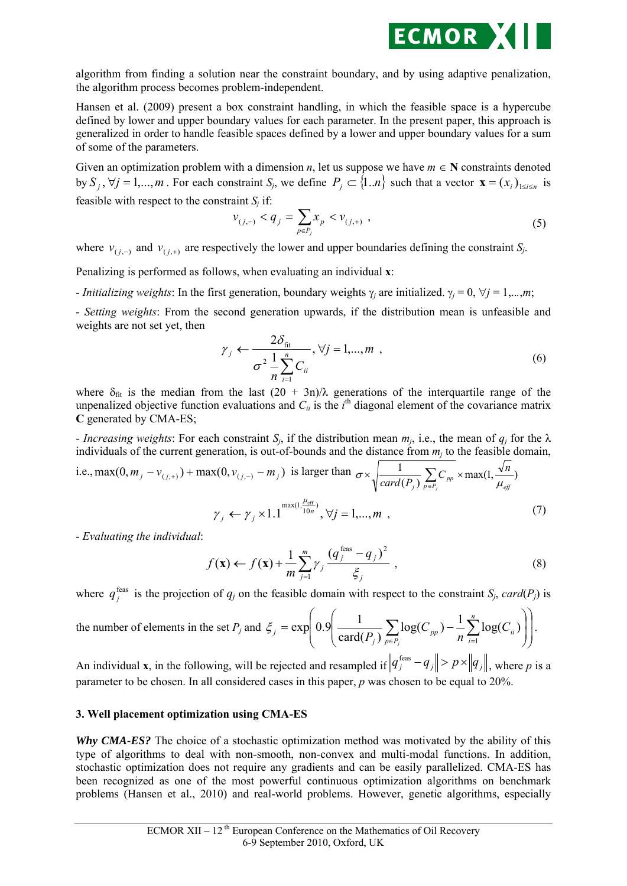

algorithm from finding a solution near the constraint boundary, and by using adaptive penalization, the algorithm process becomes problem-independent.

Hansen et al. (2009) present a box constraint handling, in which the feasible space is a hypercube defined by lower and upper boundary values for each parameter. In the present paper, this approach is generalized in order to handle feasible spaces defined by a lower and upper boundary values for a sum of some of the parameters.

Given an optimization problem with a dimension *n*, let us suppose we have  $m \in N$  constraints denoted by  $S_i$ ,  $\forall j = 1,...,m$ . For each constraint  $S_j$ , we define  $P_j \subset \{1..n\}$  such that a vector  $\mathbf{x} = (x_i)_{1 \le i \le n}$  is feasible with respect to the constraint  $S_i$  if:

$$
v_{(j,-)} < q_j = \sum_{p \in P_j} x_p < v_{(j,+)}, \qquad (5)
$$

where  $v_{(i,-)}$  and  $v_{(i,+)}$  are respectively the lower and upper boundaries defining the constraint *S<sub>j</sub>*.

Penalizing is performed as follows, when evaluating an individual **x**:

- *Initializing weights*: In the first generation, boundary weights  $\gamma_i$  are initialized.  $\gamma_i = 0$ ,  $\forall j = 1,...,m$ ;

- *Setting weights*: From the second generation upwards, if the distribution mean is unfeasible and weights are not set yet, then

$$
\gamma_j \leftarrow \frac{2\delta_{\text{fit}}}{\sigma^2 \frac{1}{n} \sum_{i=1}^n C_{ii}}, \forall j = 1, ..., m \tag{6}
$$

where  $\delta_{\text{fit}}$  is the median from the last  $(20 + 3n)/\lambda$  generations of the interquartile range of the unpenalized objective function evaluations and  $C_{ii}$  is the  $i^{\text{th}}$  diagonal element of the covariance matrix **C** generated by CMA-ES;

- *Increasing weights*: For each constraint  $S_i$ , if the distribution mean  $m_i$ , i.e., the mean of  $q_i$  for the  $\lambda$ individuals of the current generation, is out-of-bounds and the distance from  $m_j$  to the feasible domain,

i.e., max(0, 
$$
m_j - v_{(j,+)})
$$
 + max(0,  $v_{(j,-)} - m_j$ ) is larger than  $\sigma \times \sqrt{\frac{1}{card(P_j)} \sum_{p \in P_j} C_{pp} \times max(1, \frac{\sqrt{n}}{\mu_{eff}})}$   
 $\gamma_j \leftarrow \gamma_j \times 1.1^{\max(1, \frac{\mu_{eff}}{10n})}, \forall j = 1,...,m$  (7)

- *Evaluating the individual*:

$$
f(\mathbf{x}) \leftarrow f(\mathbf{x}) + \frac{1}{m} \sum_{j=1}^{m} \gamma_j \frac{\left(q_j^{\text{feas}} - q_j\right)^2}{\xi_j}, \tag{8}
$$

where  $q_j^{\text{feas}}$  is the projection of  $q_j$  on the feasible domain with respect to the constraint *S<sub>j</sub>*, *card*(*P<sub>j</sub>*) is

the number of elements in the set 
$$
P_j
$$
 and  $\xi_j = \exp\left(0.9\left(\frac{1}{\text{card}(P_j)}\sum_{p \in P_j} \log(C_{pp}) - \frac{1}{n}\sum_{i=1}^n \log(C_{ii})\right)\right)$ .

An individual **x**, in the following, will be rejected and resampled if  $\left\|q_j^{\text{feas}} - q_j\right\| > p \times \left\|q_j\right\|$ , where p is a parameter to be chosen. In all considered cases in this paper, *p* was chosen to be equal to 20%.

#### **3. Well placement optimization using CMA-ES**

*Why CMA-ES?* The choice of a stochastic optimization method was motivated by the ability of this type of algorithms to deal with non-smooth, non-convex and multi-modal functions. In addition, stochastic optimization does not require any gradients and can be easily parallelized. CMA-ES has been recognized as one of the most powerful continuous optimization algorithms on benchmark problems (Hansen et al., 2010) and real-world problems. However, genetic algorithms, especially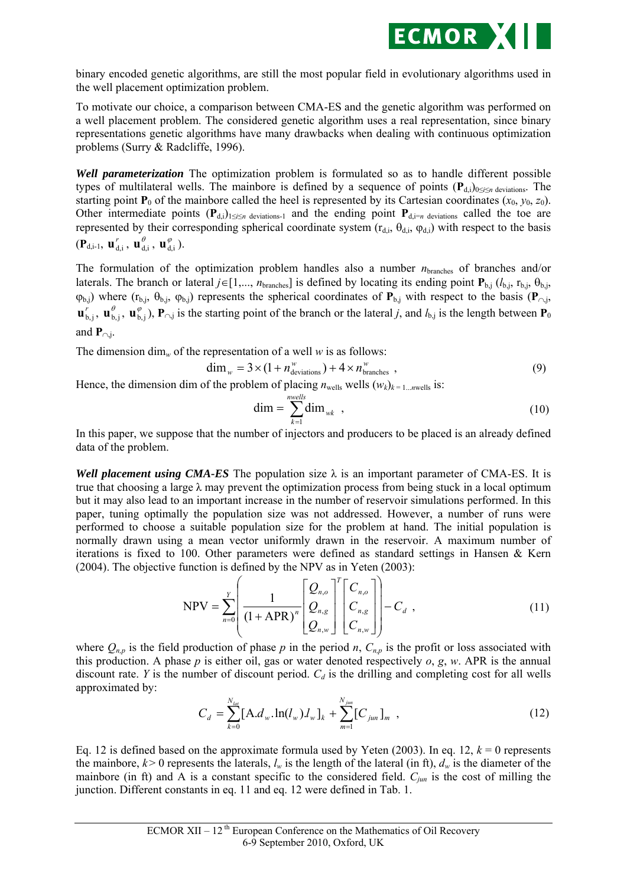

binary encoded genetic algorithms, are still the most popular field in evolutionary algorithms used in the well placement optimization problem.

To motivate our choice, a comparison between CMA-ES and the genetic algorithm was performed on a well placement problem. The considered genetic algorithm uses a real representation, since binary representations genetic algorithms have many drawbacks when dealing with continuous optimization problems (Surry & Radcliffe, 1996).

*Well parameterization* The optimization problem is formulated so as to handle different possible types of multilateral wells. The mainbore is defined by a sequence of points ( $P_{d,i}$ )<sub>0≤*i*≤*n* deviations. The</sub> starting point  $P_0$  of the mainbore called the heel is represented by its Cartesian coordinates  $(x_0, y_0, z_0)$ . Other intermediate points  $(P_{d,i})_{1\leq i\leq n}$  deviations-1 and the ending point  $P_{d,i=n}$  deviations called the toe are represented by their corresponding spherical coordinate system  $(r_{d,i}, \theta_{d,i}, \varphi_{d,i})$  with respect to the basis  $(\mathbf{P}_{d,i-1}, \mathbf{u}_{d,i}^r, \mathbf{u}_{d,i}^{\theta}, \mathbf{u}_{d,i}^{\phi}).$ 

The formulation of the optimization problem handles also a number *n*branches of branches and/or laterals. The branch or lateral  $j \in [1,..., n_{branches}]$  is defined by locating its ending point  $\mathbf{P}_{b,j}$  ( $l_{b,j}$ ,  $r_{b,j}$ ,  $\theta_{b,j}$ ,  $(\varphi_{b,j})$  where ( $r_{b,j}$ ,  $\varphi_{b,j}$ ) represents the spherical coordinates of  $P_{b,j}$  with respect to the basis ( $P_{\cap,j}$ ,  $\mathbf{u}_{b,j}^r$ ,  $\mathbf{u}_{b,j}^\theta$ ,  $\mathbf{u}_{b,j}^\phi$ ,  $\mathbf{P}_{\cap,j}$  is the starting point of the branch or the lateral *j*, and  $l_{b,j}$  is the length between  $\mathbf{P}_0$ and  $P_{\text{o}}$ *j*.

The dimension dim<sub>*w*</sub> of the representation of a well *w* is as follows:

$$
\dim_{w} = 3 \times (1 + n_{\text{deviations}}^{w}) + 4 \times n_{\text{branches}}^{w} , \qquad (9)
$$

Hence, the dimension dim of the problem of placing  $n_{\text{wells}}$  wells  $(w_k)_{k=1...n \text{wells}}$  is:

$$
\dim = \sum_{k=1}^{n\text{wells}} \dim_{\text{wk}} , \qquad (10)
$$

In this paper, we suppose that the number of injectors and producers to be placed is an already defined data of the problem.

*Well placement using CMA-ES* The population size  $\lambda$  is an important parameter of CMA-ES. It is true that choosing a large  $\lambda$  may prevent the optimization process from being stuck in a local optimum but it may also lead to an important increase in the number of reservoir simulations performed. In this paper, tuning optimally the population size was not addressed. However, a number of runs were performed to choose a suitable population size for the problem at hand. The initial population is normally drawn using a mean vector uniformly drawn in the reservoir. A maximum number of iterations is fixed to 100. Other parameters were defined as standard settings in Hansen & Kern (2004). The objective function is defined by the NPV as in Yeten (2003):

$$
NPV = \sum_{n=0}^{Y} \left( \frac{1}{(1 + APR)^n} \left[ \frac{Q_{n,o}}{Q_{n,g}} \right]^T \left[ \begin{matrix} C_{n,o} \\ C_{n,g} \\ C_{n,w} \end{matrix} \right] \right) - C_d ,
$$
\n(11)

where  $Q_{n,p}$  is the field production of phase p in the period n,  $C_{n,p}$  is the profit or loss associated with this production. A phase *p* is either oil, gas or water denoted respectively *o*, *g*, *w*. APR is the annual discount rate. *Y* is the number of discount period.  $C_d$  is the drilling and completing cost for all wells approximated by:

$$
C_d = \sum_{k=0}^{N_{lat}} [A.d_w \cdot \ln(l_w) l_w]_k + \sum_{m=1}^{N_{jun}} [C_{jun}]_m , \qquad (12)
$$

Eq. 12 is defined based on the approximate formula used by Yeten (2003). In eq. 12,  $k = 0$  represents the mainbore,  $k > 0$  represents the laterals,  $l_w$  is the length of the lateral (in ft),  $d_w$  is the diameter of the mainbore (in ft) and A is a constant specific to the considered field. *Cjun* is the cost of milling the junction. Different constants in eq. 11 and eq. 12 were defined in Tab. 1.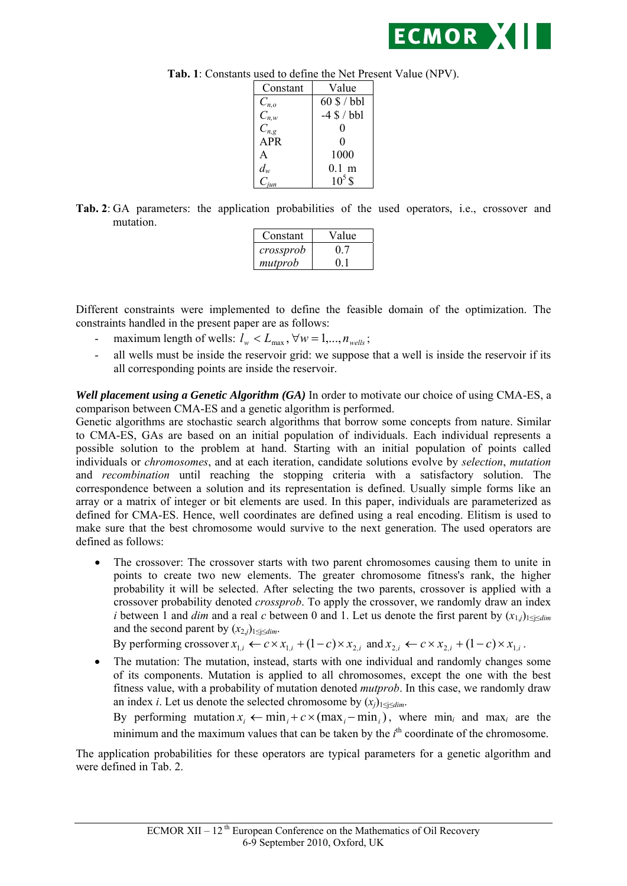

| Constant   | Value            |
|------------|------------------|
| $C_{n,o}$  | $60$ \$ / bbl    |
| $C_{n,w}$  | $-4$ \$ / bbl    |
| $C_{n,g}$  | 0                |
| <b>APR</b> | 0                |
| A          | 1000             |
| $d_w$      | $0.1~\mathrm{m}$ |
|            | $10^5$ \$        |

**Tab. 1**: Constants used to define the Net Present Value (NPV).

**Tab. 2**: GA parameters: the application probabilities of the used operators, i.e., crossover and mutation.

| Constant  | Value |
|-----------|-------|
| crossprob |       |
| mutprob   |       |

Different constraints were implemented to define the feasible domain of the optimization. The constraints handled in the present paper are as follows:

- maximum length of wells:  $l_w < L_{\text{max}}$ ,  $\forall w = 1,..., n_{\text{well}}$ ;
- all wells must be inside the reservoir grid: we suppose that a well is inside the reservoir if its all corresponding points are inside the reservoir.

*Well placement using a Genetic Algorithm (GA)* In order to motivate our choice of using CMA-ES, a comparison between CMA-ES and a genetic algorithm is performed.

Genetic algorithms are stochastic search algorithms that borrow some concepts from nature. Similar to CMA-ES, GAs are based on an initial population of individuals. Each individual represents a possible solution to the problem at hand. Starting with an initial population of points called individuals or *chromosomes*, and at each iteration, candidate solutions evolve by *selection*, *mutation* and *recombination* until reaching the stopping criteria with a satisfactory solution. The correspondence between a solution and its representation is defined. Usually simple forms like an array or a matrix of integer or bit elements are used. In this paper, individuals are parameterized as defined for CMA-ES. Hence, well coordinates are defined using a real encoding. Elitism is used to make sure that the best chromosome would survive to the next generation. The used operators are defined as follows:

• The crossover: The crossover starts with two parent chromosomes causing them to unite in points to create two new elements. The greater chromosome fitness's rank, the higher probability it will be selected. After selecting the two parents, crossover is applied with a crossover probability denoted *crossprob*. To apply the crossover, we randomly draw an index *i* between 1 and *dim* and a real *c* between 0 and 1. Let us denote the first parent by  $(x_{1,i})_{1\leq i\leq dim}$ and the second parent by  $(x_{2,j})_{1 \leq j \leq dim}$ .

By performing crossover  $x_{1,i} \leftarrow c \times x_{1,i} + (1-c) \times x_{2,i}$  and  $x_{2,i} \leftarrow c \times x_{2,i} + (1-c) \times x_{1,i}$ .

• The mutation: The mutation, instead, starts with one individual and randomly changes some of its components. Mutation is applied to all chromosomes, except the one with the best fitness value, with a probability of mutation denoted *mutprob*. In this case, we randomly draw an index *i*. Let us denote the selected chromosome by  $(x_i)_{1 \leq i \leq dim}$ .

By performing mutation  $x_i \leftarrow \min_i + c \times (\max_i - \min_i)$ , where  $\min_i$  and  $\max_i$  are the minimum and the maximum values that can be taken by the  $i<sup>th</sup>$  coordinate of the chromosome.

The application probabilities for these operators are typical parameters for a genetic algorithm and were defined in Tab. 2.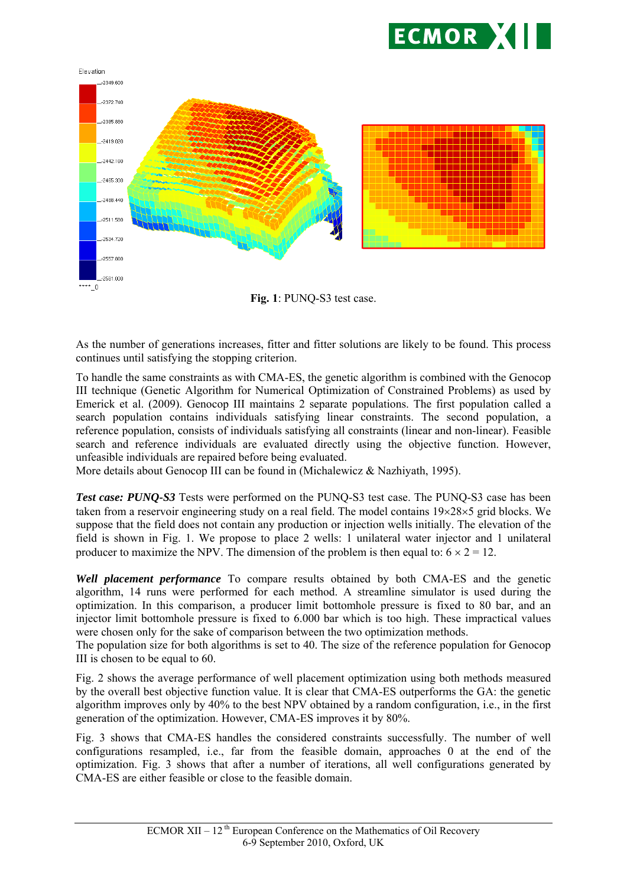



**Fig. 1**: PUNQ-S3 test case.

As the number of generations increases, fitter and fitter solutions are likely to be found. This process continues until satisfying the stopping criterion.

To handle the same constraints as with CMA-ES, the genetic algorithm is combined with the Genocop III technique (Genetic Algorithm for Numerical Optimization of Constrained Problems) as used by Emerick et al. (2009). Genocop III maintains 2 separate populations. The first population called a search population contains individuals satisfying linear constraints. The second population, a reference population, consists of individuals satisfying all constraints (linear and non-linear). Feasible search and reference individuals are evaluated directly using the objective function. However, unfeasible individuals are repaired before being evaluated.

More details about Genocop III can be found in (Michalewicz & Nazhiyath, 1995).

**Test case: PUNQ-S3** Tests were performed on the PUNQ-S3 test case. The PUNQ-S3 case has been taken from a reservoir engineering study on a real field. The model contains  $19\times28\times5$  grid blocks. We suppose that the field does not contain any production or injection wells initially. The elevation of the field is shown in Fig. 1. We propose to place 2 wells: 1 unilateral water injector and 1 unilateral producer to maximize the NPV. The dimension of the problem is then equal to:  $6 \times 2 = 12$ .

*Well placement performance* To compare results obtained by both CMA-ES and the genetic algorithm, 14 runs were performed for each method. A streamline simulator is used during the optimization. In this comparison, a producer limit bottomhole pressure is fixed to 80 bar, and an injector limit bottomhole pressure is fixed to 6.000 bar which is too high. These impractical values were chosen only for the sake of comparison between the two optimization methods.

The population size for both algorithms is set to 40. The size of the reference population for Genocop III is chosen to be equal to 60.

Fig. 2 shows the average performance of well placement optimization using both methods measured by the overall best objective function value. It is clear that CMA-ES outperforms the GA: the genetic algorithm improves only by 40% to the best NPV obtained by a random configuration, i.e., in the first generation of the optimization. However, CMA-ES improves it by 80%.

Fig. 3 shows that CMA-ES handles the considered constraints successfully. The number of well configurations resampled, i.e., far from the feasible domain, approaches 0 at the end of the optimization. Fig. 3 shows that after a number of iterations, all well configurations generated by CMA-ES are either feasible or close to the feasible domain.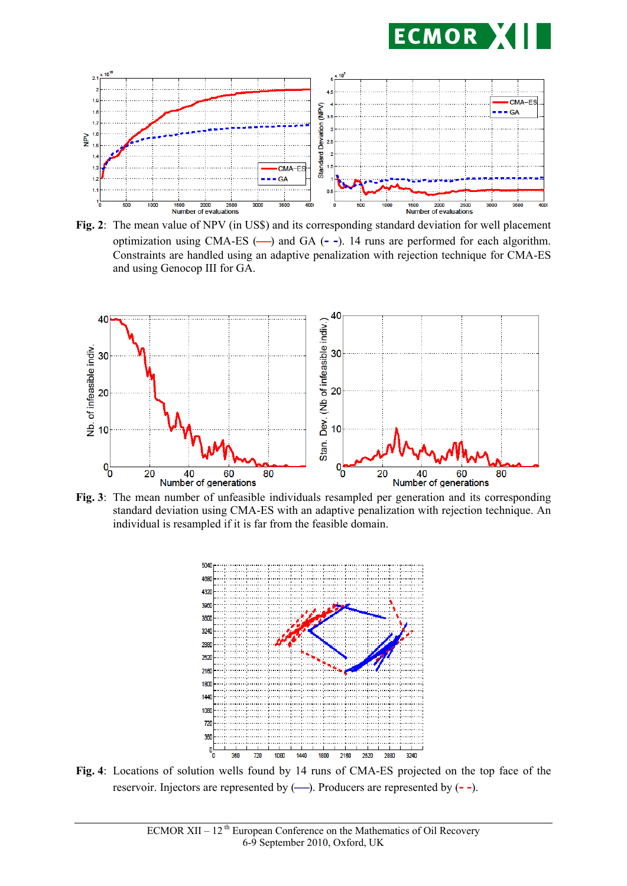



**Fig. 2**: The mean value of NPV (in US\$) and its corresponding standard deviation for well placement optimization using CMA-ES (-) and GA (--). 14 runs are performed for each algorithm. Constraints are handled using an adaptive penalization with rejection technique for CMA-ES and using Genocop III for GA.



**Fig. 3**: The mean number of unfeasible individuals resampled per generation and its corresponding standard deviation using CMA-ES with an adaptive penalization with rejection technique. An individual is resampled if it is far from the feasible domain.



**Fig. 4**: Locations of solution wells found by 14 runs of CMA-ES projected on the top face of the reservoir. Injectors are represented by  $(\rightarrow)$ . Producers are represented by  $(-)$ .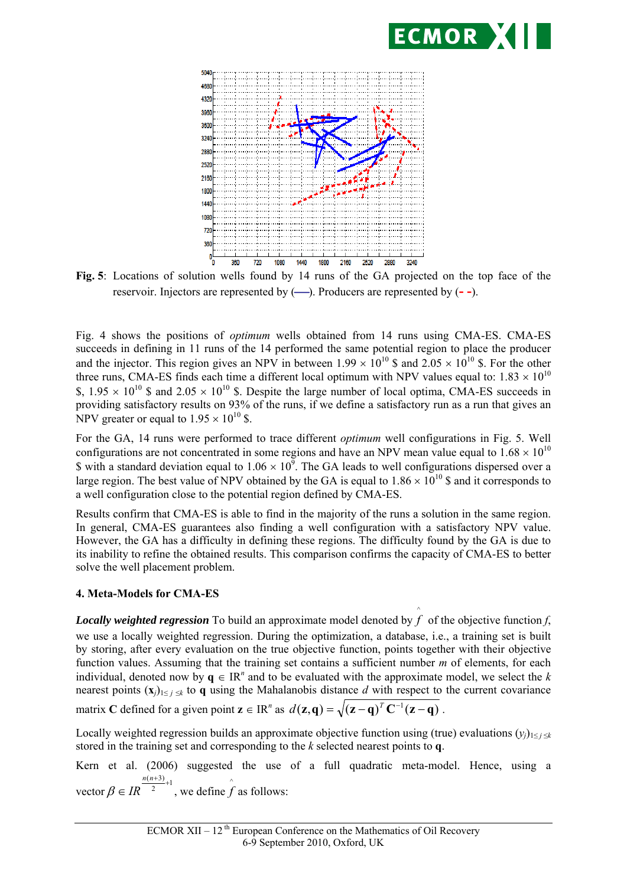



**Fig. 5**: Locations of solution wells found by 14 runs of the GA projected on the top face of the reservoir. Injectors are represented by  $(\rightarrow)$ . Producers are represented by  $(-)$ .

Fig. 4 shows the positions of *optimum* wells obtained from 14 runs using CMA-ES. CMA-ES succeeds in defining in 11 runs of the 14 performed the same potential region to place the producer and the injector. This region gives an NPV in between  $1.99 \times 10^{10}$  \$ and  $2.05 \times 10^{10}$  \$. For the other three runs, CMA-ES finds each time a different local optimum with NPV values equal to:  $1.83 \times 10^{10}$ \$,  $1.95 \times 10^{10}$  \$ and  $2.05 \times 10^{10}$  \$. Despite the large number of local optima, CMA-ES succeeds in providing satisfactory results on 93% of the runs, if we define a satisfactory run as a run that gives an NPV greater or equal to  $1.95 \times 10^{10}$  \$.

For the GA, 14 runs were performed to trace different *optimum* well configurations in Fig. 5. Well configurations are not concentrated in some regions and have an NPV mean value equal to  $1.68 \times 10^{10}$ \$ with a standard deviation equal to  $1.06 \times 10^9$ . The GA leads to well configurations dispersed over a large region. The best value of NPV obtained by the GA is equal to  $1.86 \times 10^{10}$  \$ and it corresponds to a well configuration close to the potential region defined by CMA-ES.

Results confirm that CMA-ES is able to find in the majority of the runs a solution in the same region. In general, CMA-ES guarantees also finding a well configuration with a satisfactory NPV value. However, the GA has a difficulty in defining these regions. The difficulty found by the GA is due to its inability to refine the obtained results. This comparison confirms the capacity of CMA-ES to better solve the well placement problem.

#### **4. Meta-Models for CMA-ES**

*Locally weighted regression* To build an approximate model denoted by  $f$  of the objective function  $f$ , ^ we use a locally weighted regression. During the optimization, a database, i.e., a training set is built by storing, after every evaluation on the true objective function, points together with their objective function values. Assuming that the training set contains a sufficient number *m* of elements, for each individual, denoted now by  $q \in \mathbb{R}^n$  and to be evaluated with the approximate model, we select the *k* nearest points  $(\mathbf{x}_i)_{1 \leq i \leq k}$  to **q** using the Mahalanobis distance *d* with respect to the current covariance

matrix **C** defined for a given point  $\mathbf{z} \in \mathbb{R}^n$  as  $d(\mathbf{z}, \mathbf{q}) = \sqrt{(\mathbf{z} - \mathbf{q})^T \mathbf{C}^{-1} (\mathbf{z} - \mathbf{q})}$ .

Locally weighted regression builds an approximate objective function using (true) evaluations  $(y_i)_{1 \leq i \leq k}$ stored in the training set and corresponding to the *k* selected nearest points to **q**.

Kern et al. (2006) suggested the use of a full quadratic meta-model. Hence, using a vector  $\beta \in IR^{\frac{n(n+3)}{2}+1}$  $n(n+3)$  $\beta \in IR^{\frac{n(n+3)}{2}+1}$ , we define  $\hat{f}$  as follows: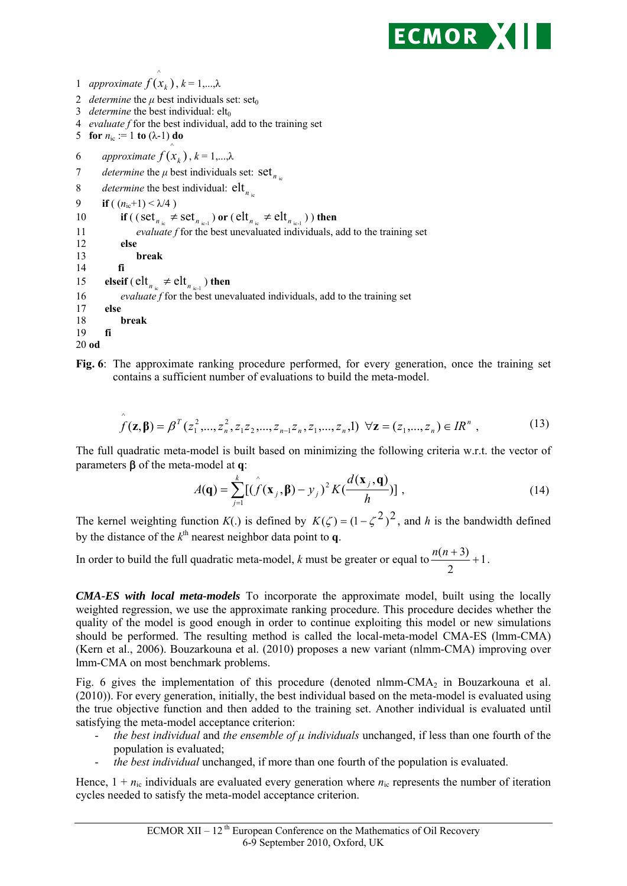

```
2 determine the \mu best individuals set: set<sub>0</sub>
3 determine the best individual: elt_04 evaluate f for the best individual, add to the training set 
5 for n_{\text{ic}} := 1 to (\lambda - 1) do
6 approximate
                             f(x_k), k = 1,...,λ7 determine the \mu best individuals set: set \int_{\mu}8 determine the best individual: \mathbf{elt}_{n_{\text{ic}}}<br>9 if ((n_{\text{ic}}+1) < \lambda/4)if ( (n_{\text{ic}}+1) < \lambda/4 )
10 if ( (\text{set}_{n_{\text{ie}}} \neq \text{set}_{n_{\text{ie-1}}}) or (\text{elt}_{n_{\text{ie}}} \neq \text{elt}_{n_{\text{ie-1}}})) then<br>11 evaluate f for the best unevaluated individuals.
                     evaluate f for the best unevaluated individuals, add to the training set
12 else
13 break
14 fi
15 elseif ( \text{elt}_{n_{\text{ie}}} \neq \text{elt}_{n_{\text{ie-1}}} ) then <br>16 evaluate f for the best unes
               evaluate f for the best unevaluated individuals, add to the training set
17 else
18 break
19 fi
20 od
```
1 *approximate*  $f(x_k)$ ,  $k = 1,..., \lambda$ ^

**Fig. 6**: The approximate ranking procedure performed, for every generation, once the training set contains a sufficient number of evaluations to build the meta-model.

$$
\hat{f}(\mathbf{z}, \boldsymbol{\beta}) = \beta^{T}(z_1^2, ..., z_n^2, z_1 z_2, ..., z_{n-1} z_n, z_1, ..., z_n, 1) \ \forall \mathbf{z} = (z_1, ..., z_n) \in IR^n ,
$$
\n(13)

The full quadratic meta-model is built based on minimizing the following criteria w.r.t. the vector of parameters  $\beta$  of the meta-model at **q**:

$$
A(\mathbf{q}) = \sum_{j=1}^{k} [(\hat{f}(\mathbf{x}_j, \mathbf{\beta}) - y_j)^2 K(\frac{d(\mathbf{x}_j, \mathbf{q})}{h})],
$$
\n(14)

The kernel weighting function  $K(.)$  is defined by  $K(\zeta) = (1 - \zeta^2)^2$ , and *h* is the bandwidth defined by the distance of the  $k^{\text{th}}$  nearest neighbor data point to **q**.

In order to build the full quadratic meta-model, *k* must be greater or equal to  $\frac{n(n+5)}{2}+1$ 2  $\frac{n(n+3)}{n}+1$ .

*CMA-ES with local meta-models* To incorporate the approximate model, built using the locally weighted regression, we use the approximate ranking procedure. This procedure decides whether the quality of the model is good enough in order to continue exploiting this model or new simulations should be performed. The resulting method is called the local-meta-model CMA-ES (lmm-CMA) (Kern et al., 2006). Bouzarkouna et al. (2010) proposes a new variant (nlmm-CMA) improving over lmm-CMA on most benchmark problems.

Fig. 6 gives the implementation of this procedure (denoted nlmm-CMA<sub>2</sub> in Bouzarkouna et al. (2010)). For every generation, initially, the best individual based on the meta-model is evaluated using the true objective function and then added to the training set. Another individual is evaluated until satisfying the meta-model acceptance criterion:

- *the best individual* and *the ensemble of μ individuals* unchanged, if less than one fourth of the population is evaluated;
- *the best individual* unchanged, if more than one fourth of the population is evaluated.

Hence,  $1 + n_{ic}$  individuals are evaluated every generation where  $n_{ic}$  represents the number of iteration cycles needed to satisfy the meta-model acceptance criterion.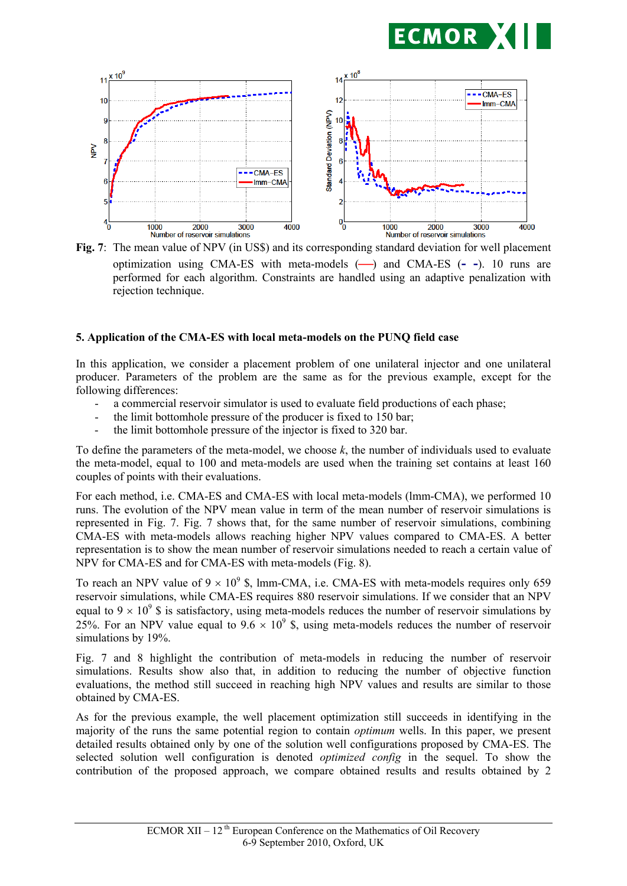



**Fig. 7**: The mean value of NPV (in US\$) and its corresponding standard deviation for well placement optimization using CMA-ES with meta-models () and CMA-ES (**- -**). 10 runs are performed for each algorithm. Constraints are handled using an adaptive penalization with rejection technique.

#### **5. Application of the CMA-ES with local meta-models on the PUNQ field case**

In this application, we consider a placement problem of one unilateral injector and one unilateral producer. Parameters of the problem are the same as for the previous example, except for the following differences:

- a commercial reservoir simulator is used to evaluate field productions of each phase;
- the limit bottomhole pressure of the producer is fixed to 150 bar;
- the limit bottomhole pressure of the injector is fixed to 320 bar.

To define the parameters of the meta-model, we choose *k*, the number of individuals used to evaluate the meta-model, equal to 100 and meta-models are used when the training set contains at least 160 couples of points with their evaluations.

For each method, i.e. CMA-ES and CMA-ES with local meta-models (lmm-CMA), we performed 10 runs. The evolution of the NPV mean value in term of the mean number of reservoir simulations is represented in Fig. 7. Fig. 7 shows that, for the same number of reservoir simulations, combining CMA-ES with meta-models allows reaching higher NPV values compared to CMA-ES. A better representation is to show the mean number of reservoir simulations needed to reach a certain value of NPV for CMA-ES and for CMA-ES with meta-models (Fig. 8).

To reach an NPV value of  $9 \times 10^9$  \$, lmm-CMA, i.e. CMA-ES with meta-models requires only 659 reservoir simulations, while CMA-ES requires 880 reservoir simulations. If we consider that an NPV equal to  $9 \times 10^9$  \$ is satisfactory, using meta-models reduces the number of reservoir simulations by 25%. For an NPV value equal to  $9.6 \times 10^9$  \$, using meta-models reduces the number of reservoir simulations by 19%.

Fig. 7 and 8 highlight the contribution of meta-models in reducing the number of reservoir simulations. Results show also that, in addition to reducing the number of objective function evaluations, the method still succeed in reaching high NPV values and results are similar to those obtained by CMA-ES.

As for the previous example, the well placement optimization still succeeds in identifying in the majority of the runs the same potential region to contain *optimum* wells. In this paper, we present detailed results obtained only by one of the solution well configurations proposed by CMA-ES. The selected solution well configuration is denoted *optimized config* in the sequel. To show the contribution of the proposed approach, we compare obtained results and results obtained by 2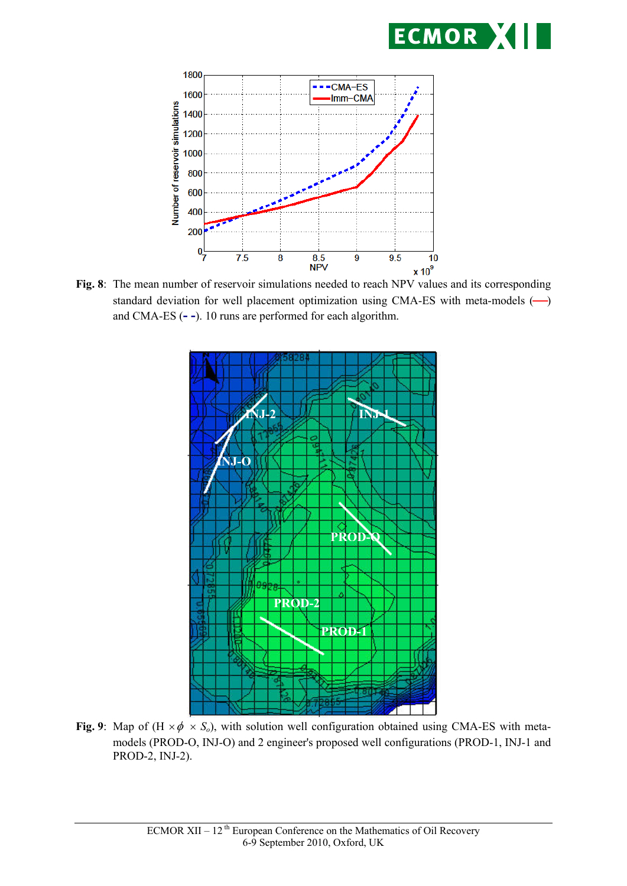



**Fig. 8**: The mean number of reservoir simulations needed to reach NPV values and its corresponding standard deviation for well placement optimization using CMA-ES with meta-models  $(\rightarrow)$ and CMA-ES (**- -**). 10 runs are performed for each algorithm.



**Fig. 9**: Map of  $(H \times \phi \times S_o)$ , with solution well configuration obtained using CMA-ES with metamodels (PROD-O, INJ-O) and 2 engineer's proposed well configurations (PROD-1, INJ-1 and PROD-2, INJ-2).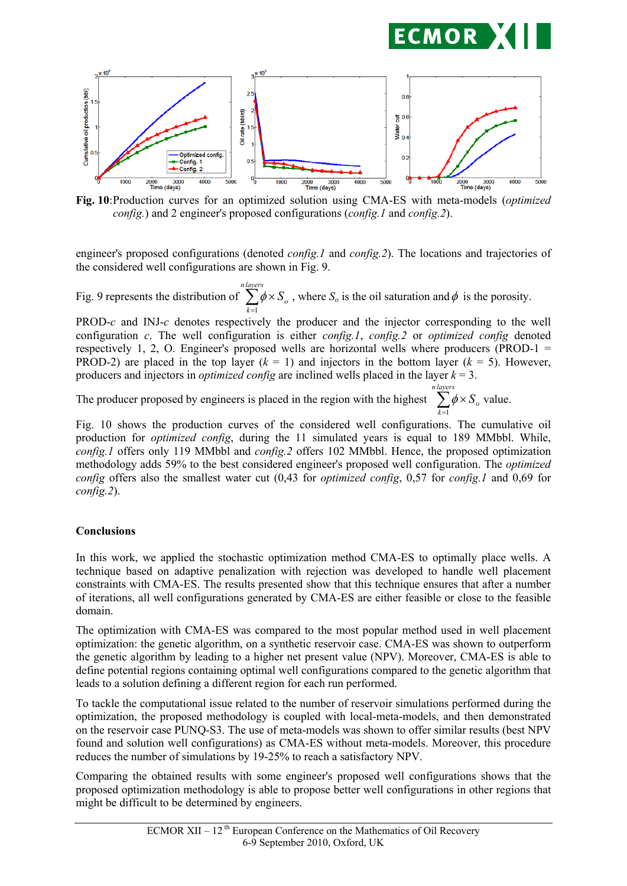



*config.*) and 2 engineer's proposed configurations (*config.1* and *config.2*).

engineer's proposed configurations (denoted *config.1* and *config.2*). The locations and trajectories of the considered well configurations are shown in Fig. 9.

Fig. 9 represents the distribution of  $\sum_{k=1}^{\infty} \phi \times$ *n layers k So* 1  $\phi \times S$ <sub>o</sub>, where *S*<sub>o</sub> is the oil saturation and  $\phi$  is the porosity.

PROD-*c* and INJ-*c* denotes respectively the producer and the injector corresponding to the well configuration *c*. The well configuration is either *config.1*, *config.2* or *optimized config* denoted respectively 1, 2, O. Engineer's proposed wells are horizontal wells where producers (PROD-1  $=$ PROD-2) are placed in the top layer  $(k = 1)$  and injectors in the bottom layer  $(k = 5)$ . However, producers and injectors in *optimized config* are inclined wells placed in the layer *k* = 3.

The producer proposed by engineers is placed in the region with the highest  $\sum_{k=1}^{\infty} \phi \times$ *n layers k So* 1  $\phi \times S_{o}$  value.

Fig. 10 shows the production curves of the considered well configurations. The cumulative oil production for *optimized config*, during the 11 simulated years is equal to 189 MMbbl. While, *config.1* offers only 119 MMbbl and *config.2* offers 102 MMbbl. Hence, the proposed optimization methodology adds 59% to the best considered engineer's proposed well configuration. The *optimized config* offers also the smallest water cut (0,43 for *optimized config*, 0,57 for *config.1* and 0,69 for *config.2*).

## **Conclusions**

In this work, we applied the stochastic optimization method CMA-ES to optimally place wells. A technique based on adaptive penalization with rejection was developed to handle well placement constraints with CMA-ES. The results presented show that this technique ensures that after a number of iterations, all well configurations generated by CMA-ES are either feasible or close to the feasible domain.

The optimization with CMA-ES was compared to the most popular method used in well placement optimization: the genetic algorithm, on a synthetic reservoir case. CMA-ES was shown to outperform the genetic algorithm by leading to a higher net present value (NPV). Moreover, CMA-ES is able to define potential regions containing optimal well configurations compared to the genetic algorithm that leads to a solution defining a different region for each run performed.

To tackle the computational issue related to the number of reservoir simulations performed during the optimization, the proposed methodology is coupled with local-meta-models, and then demonstrated on the reservoir case PUNQ-S3. The use of meta-models was shown to offer similar results (best NPV found and solution well configurations) as CMA-ES without meta-models. Moreover, this procedure reduces the number of simulations by 19-25% to reach a satisfactory NPV.

Comparing the obtained results with some engineer's proposed well configurations shows that the proposed optimization methodology is able to propose better well configurations in other regions that might be difficult to be determined by engineers.